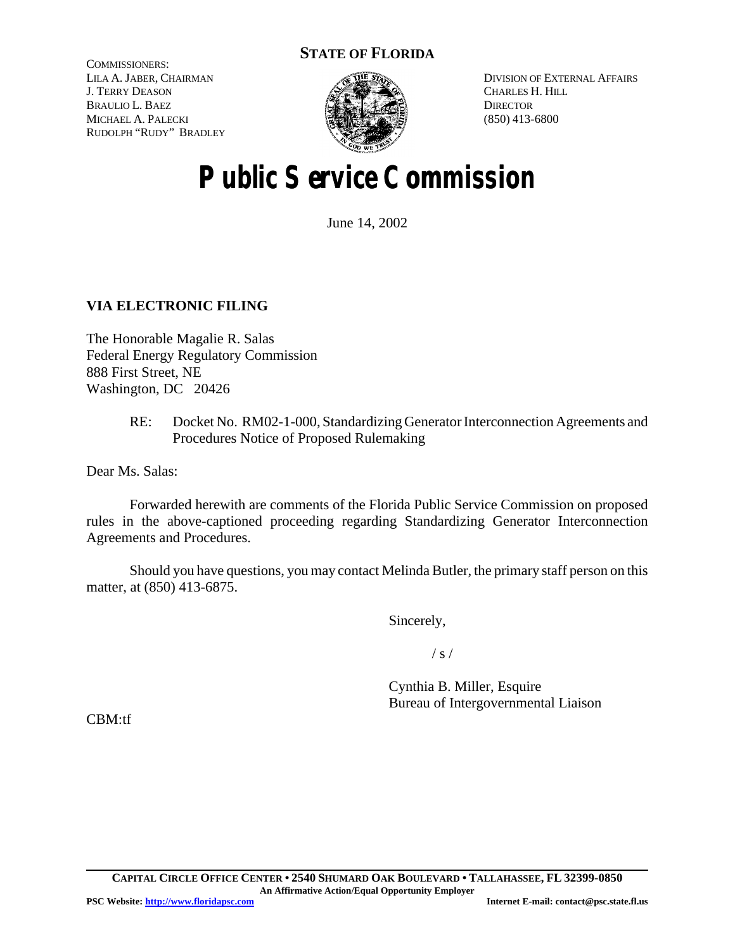# **STATE OF FLORIDA**

COMMISSIONERS: LILA A. JABER, CHAIRMAN J. TERRY DEASON BRAULIO L. BAEZ MICHAEL A. PALECKI RUDOLPH "RUDY" BRADLEY



DIVISION OF EXTERNAL AFFAIRS CHARLES H. HILL **DIRECTOR** (850) 413-6800

# **Public Service Commission**

June 14, 2002

# **VIA ELECTRONIC FILING**

The Honorable Magalie R. Salas Federal Energy Regulatory Commission 888 First Street, NE Washington, DC 20426

> RE: Docket No. RM02-1-000, Standardizing Generator Interconnection Agreements and Procedures Notice of Proposed Rulemaking

Dear Ms. Salas:

Forwarded herewith are comments of the Florida Public Service Commission on proposed rules in the above-captioned proceeding regarding Standardizing Generator Interconnection Agreements and Procedures.

Should you have questions, you may contact Melinda Butler, the primary staff person on this matter, at (850) 413-6875.

Sincerely,

/ s /

Cynthia B. Miller, Esquire Bureau of Intergovernmental Liaison

CBM:tf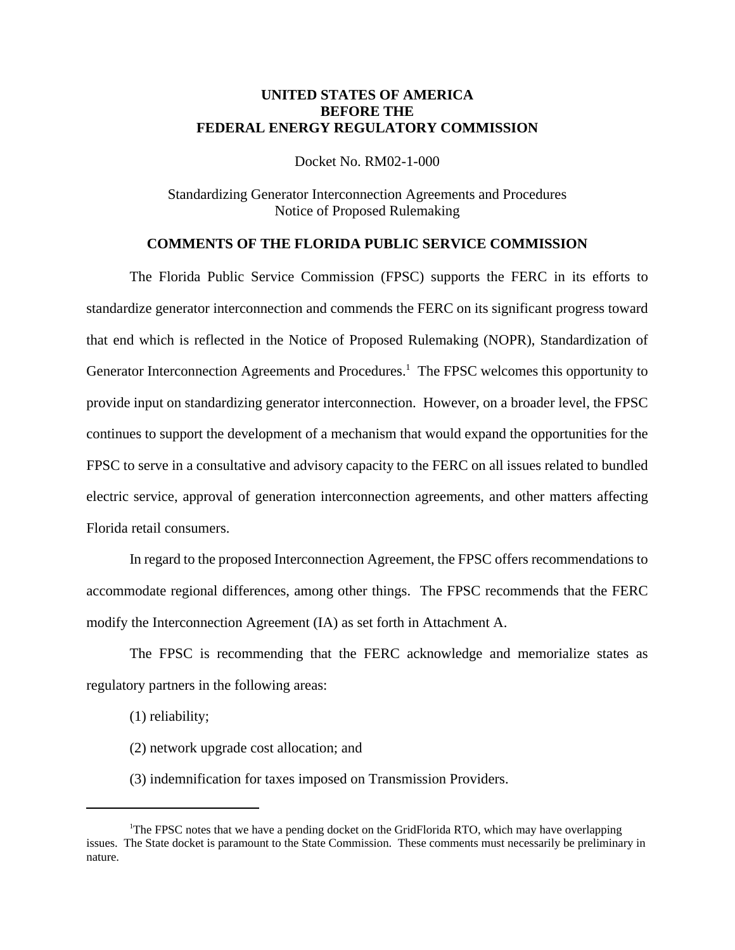## **UNITED STATES OF AMERICA BEFORE THE FEDERAL ENERGY REGULATORY COMMISSION**

Docket No. RM02-1-000

Standardizing Generator Interconnection Agreements and Procedures Notice of Proposed Rulemaking

## **COMMENTS OF THE FLORIDA PUBLIC SERVICE COMMISSION**

The Florida Public Service Commission (FPSC) supports the FERC in its efforts to standardize generator interconnection and commends the FERC on its significant progress toward that end which is reflected in the Notice of Proposed Rulemaking (NOPR), Standardization of Generator Interconnection Agreements and Procedures.<sup>1</sup> The FPSC welcomes this opportunity to provide input on standardizing generator interconnection. However, on a broader level, the FPSC continues to support the development of a mechanism that would expand the opportunities for the FPSC to serve in a consultative and advisory capacity to the FERC on all issues related to bundled electric service, approval of generation interconnection agreements, and other matters affecting Florida retail consumers.

In regard to the proposed Interconnection Agreement, the FPSC offers recommendations to accommodate regional differences, among other things. The FPSC recommends that the FERC modify the Interconnection Agreement (IA) as set forth in Attachment A.

The FPSC is recommending that the FERC acknowledge and memorialize states as regulatory partners in the following areas:

(1) reliability;

- (2) network upgrade cost allocation; and
- (3) indemnification for taxes imposed on Transmission Providers.

<sup>&</sup>lt;sup>1</sup>The FPSC notes that we have a pending docket on the GridFlorida RTO, which may have overlapping issues. The State docket is paramount to the State Commission. These comments must necessarily be preliminary in nature.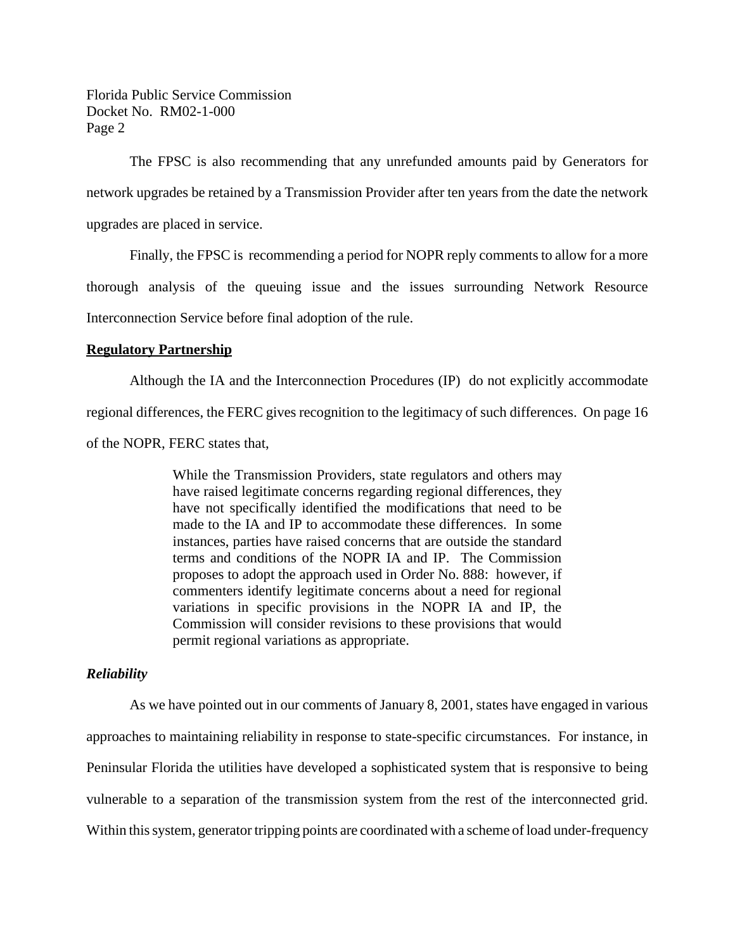The FPSC is also recommending that any unrefunded amounts paid by Generators for network upgrades be retained by a Transmission Provider after ten years from the date the network upgrades are placed in service.

Finally, the FPSC is recommending a period for NOPR reply comments to allow for a more thorough analysis of the queuing issue and the issues surrounding Network Resource Interconnection Service before final adoption of the rule.

#### **Regulatory Partnership**

Although the IA and the Interconnection Procedures (IP) do not explicitly accommodate regional differences, the FERC gives recognition to the legitimacy of such differences. On page 16 of the NOPR, FERC states that,

> While the Transmission Providers, state regulators and others may have raised legitimate concerns regarding regional differences, they have not specifically identified the modifications that need to be made to the IA and IP to accommodate these differences. In some instances, parties have raised concerns that are outside the standard terms and conditions of the NOPR IA and IP. The Commission proposes to adopt the approach used in Order No. 888: however, if commenters identify legitimate concerns about a need for regional variations in specific provisions in the NOPR IA and IP, the Commission will consider revisions to these provisions that would permit regional variations as appropriate.

#### *Reliability*

As we have pointed out in our comments of January 8, 2001, states have engaged in various approaches to maintaining reliability in response to state-specific circumstances. For instance, in Peninsular Florida the utilities have developed a sophisticated system that is responsive to being vulnerable to a separation of the transmission system from the rest of the interconnected grid. Within this system, generator tripping points are coordinated with a scheme of load under-frequency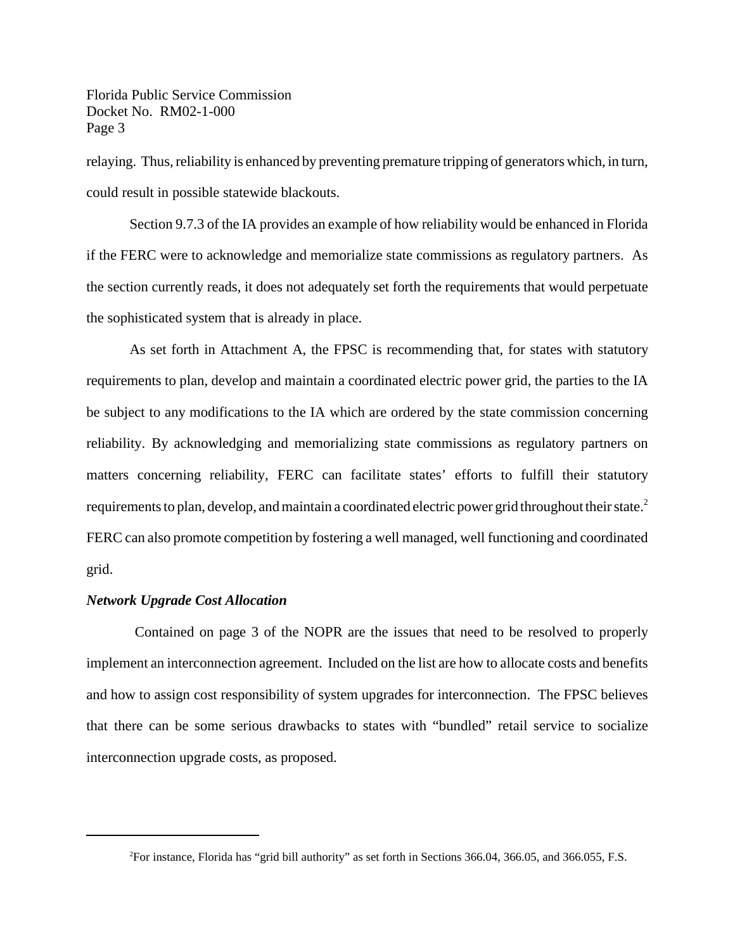relaying. Thus, reliability is enhanced by preventing premature tripping of generators which, in turn, could result in possible statewide blackouts.

Section 9.7.3 of the IA provides an example of how reliability would be enhanced in Florida if the FERC were to acknowledge and memorialize state commissions as regulatory partners. As the section currently reads, it does not adequately set forth the requirements that would perpetuate the sophisticated system that is already in place.

As set forth in Attachment A, the FPSC is recommending that, for states with statutory requirements to plan, develop and maintain a coordinated electric power grid, the parties to the IA be subject to any modifications to the IA which are ordered by the state commission concerning reliability. By acknowledging and memorializing state commissions as regulatory partners on matters concerning reliability, FERC can facilitate states' efforts to fulfill their statutory requirements to plan, develop, and maintain a coordinated electric power grid throughout their state.<sup>2</sup> FERC can also promote competition by fostering a well managed, well functioning and coordinated grid.

## *Network Upgrade Cost Allocation*

Contained on page 3 of the NOPR are the issues that need to be resolved to properly implement an interconnection agreement. Included on the list are how to allocate costs and benefits and how to assign cost responsibility of system upgrades for interconnection. The FPSC believes that there can be some serious drawbacks to states with "bundled" retail service to socialize interconnection upgrade costs, as proposed.

<sup>2</sup>For instance, Florida has "grid bill authority" as set forth in Sections 366.04, 366.05, and 366.055, F.S.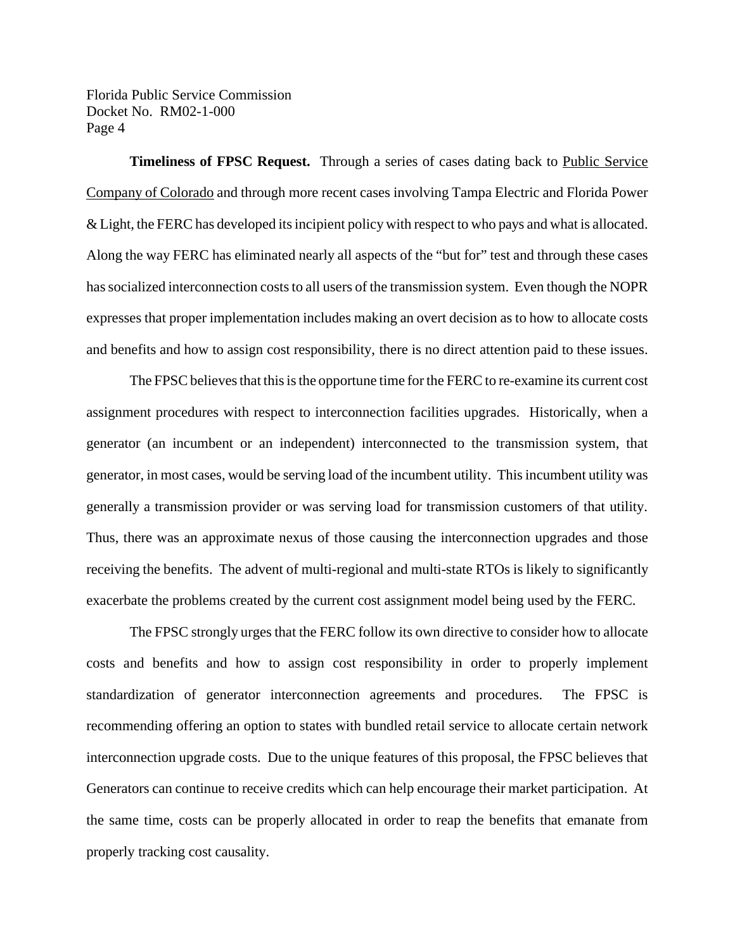**Timeliness of FPSC Request.** Through a series of cases dating back to Public Service Company of Colorado and through more recent cases involving Tampa Electric and Florida Power & Light, the FERC has developed itsincipient policy with respect to who pays and what is allocated. Along the way FERC has eliminated nearly all aspects of the "but for" test and through these cases has socialized interconnection costs to all users of the transmission system. Even though the NOPR expresses that proper implementation includes making an overt decision as to how to allocate costs and benefits and how to assign cost responsibility, there is no direct attention paid to these issues.

The FPSC believes that this is the opportune time for the FERC to re-examine its current cost assignment procedures with respect to interconnection facilities upgrades. Historically, when a generator (an incumbent or an independent) interconnected to the transmission system, that generator, in most cases, would be serving load of the incumbent utility. This incumbent utility was generally a transmission provider or was serving load for transmission customers of that utility. Thus, there was an approximate nexus of those causing the interconnection upgrades and those receiving the benefits. The advent of multi-regional and multi-state RTOs is likely to significantly exacerbate the problems created by the current cost assignment model being used by the FERC.

The FPSC strongly urges that the FERC follow its own directive to consider how to allocate costs and benefits and how to assign cost responsibility in order to properly implement standardization of generator interconnection agreements and procedures. The FPSC is recommending offering an option to states with bundled retail service to allocate certain network interconnection upgrade costs. Due to the unique features of this proposal, the FPSC believes that Generators can continue to receive credits which can help encourage their market participation. At the same time, costs can be properly allocated in order to reap the benefits that emanate from properly tracking cost causality.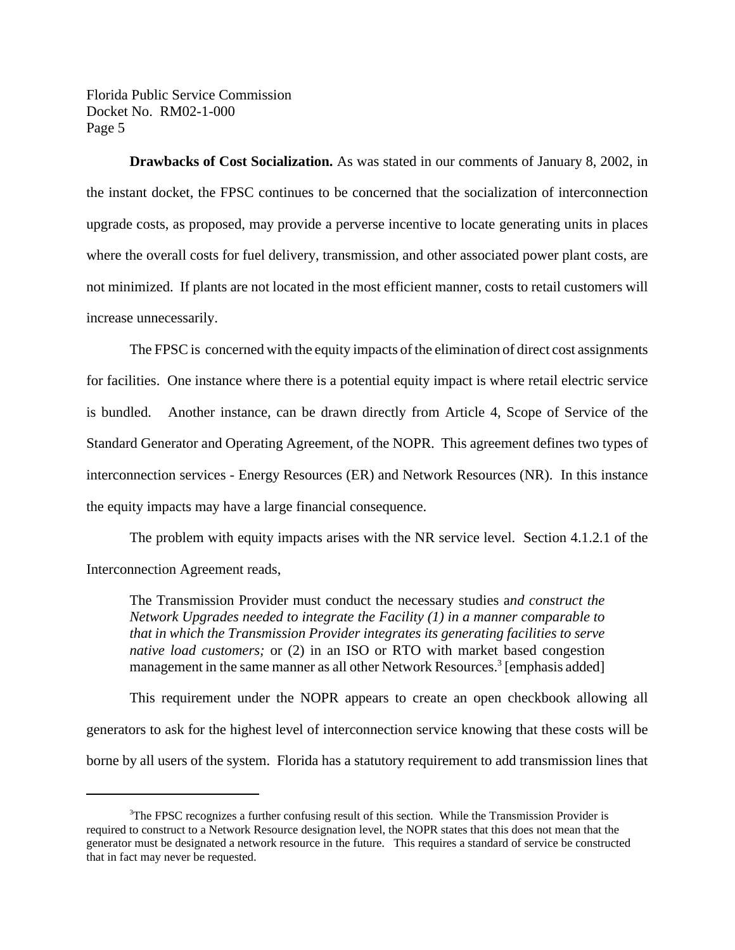**Drawbacks of Cost Socialization.** As was stated in our comments of January 8, 2002, in the instant docket, the FPSC continues to be concerned that the socialization of interconnection upgrade costs, as proposed, may provide a perverse incentive to locate generating units in places where the overall costs for fuel delivery, transmission, and other associated power plant costs, are not minimized. If plants are not located in the most efficient manner, costs to retail customers will increase unnecessarily.

The FPSC is concerned with the equity impacts of the elimination of direct cost assignments for facilities. One instance where there is a potential equity impact is where retail electric service is bundled. Another instance, can be drawn directly from Article 4, Scope of Service of the Standard Generator and Operating Agreement, of the NOPR. This agreement defines two types of interconnection services - Energy Resources (ER) and Network Resources (NR). In this instance the equity impacts may have a large financial consequence.

The problem with equity impacts arises with the NR service level. Section 4.1.2.1 of the Interconnection Agreement reads,

The Transmission Provider must conduct the necessary studies a*nd construct the Network Upgrades needed to integrate the Facility (1) in a manner comparable to that in which the Transmission Provider integrates its generating facilities to serve native load customers;* or (2) in an ISO or RTO with market based congestion management in the same manner as all other Network Resources.<sup>3</sup> [emphasis added]

This requirement under the NOPR appears to create an open checkbook allowing all generators to ask for the highest level of interconnection service knowing that these costs will be borne by all users of the system. Florida has a statutory requirement to add transmission lines that

<sup>&</sup>lt;sup>3</sup>The FPSC recognizes a further confusing result of this section. While the Transmission Provider is required to construct to a Network Resource designation level, the NOPR states that this does not mean that the generator must be designated a network resource in the future. This requires a standard of service be constructed that in fact may never be requested.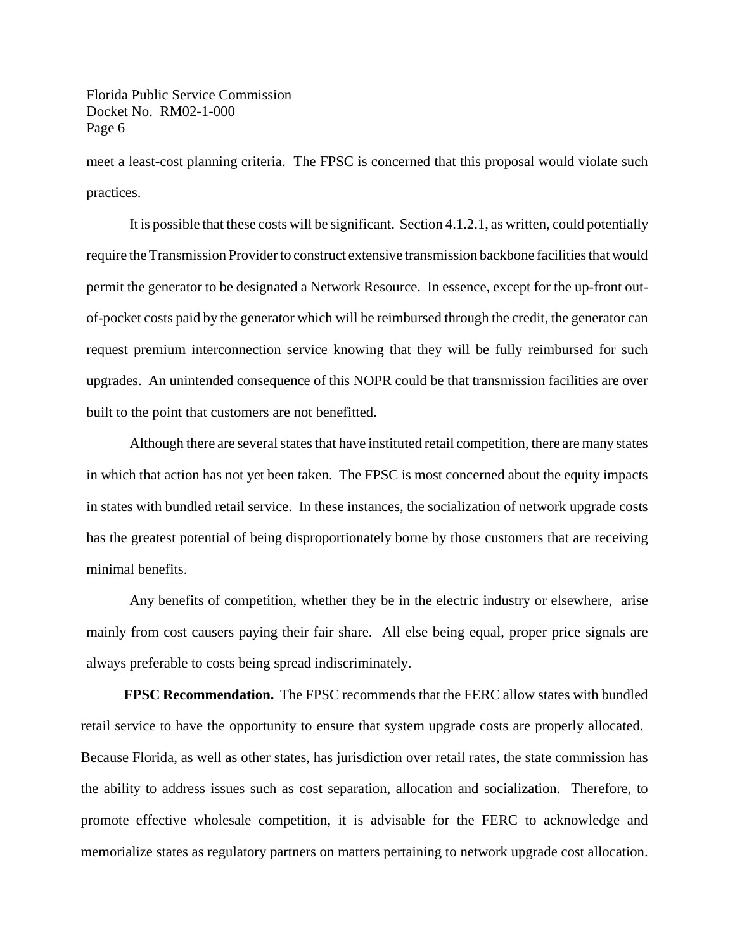meet a least-cost planning criteria. The FPSC is concerned that this proposal would violate such practices.

It is possible that these costs will be significant. Section 4.1.2.1, as written, could potentially require the Transmission Provider to construct extensive transmission backbone facilities that would permit the generator to be designated a Network Resource. In essence, except for the up-front outof-pocket costs paid by the generator which will be reimbursed through the credit, the generator can request premium interconnection service knowing that they will be fully reimbursed for such upgrades. An unintended consequence of this NOPR could be that transmission facilities are over built to the point that customers are not benefitted.

Although there are several states that have instituted retail competition, there are many states in which that action has not yet been taken. The FPSC is most concerned about the equity impacts in states with bundled retail service. In these instances, the socialization of network upgrade costs has the greatest potential of being disproportionately borne by those customers that are receiving minimal benefits.

Any benefits of competition, whether they be in the electric industry or elsewhere, arise mainly from cost causers paying their fair share. All else being equal, proper price signals are always preferable to costs being spread indiscriminately.

**FPSC Recommendation.** The FPSC recommends that the FERC allow states with bundled retail service to have the opportunity to ensure that system upgrade costs are properly allocated. Because Florida, as well as other states, has jurisdiction over retail rates, the state commission has the ability to address issues such as cost separation, allocation and socialization. Therefore, to promote effective wholesale competition, it is advisable for the FERC to acknowledge and memorialize states as regulatory partners on matters pertaining to network upgrade cost allocation.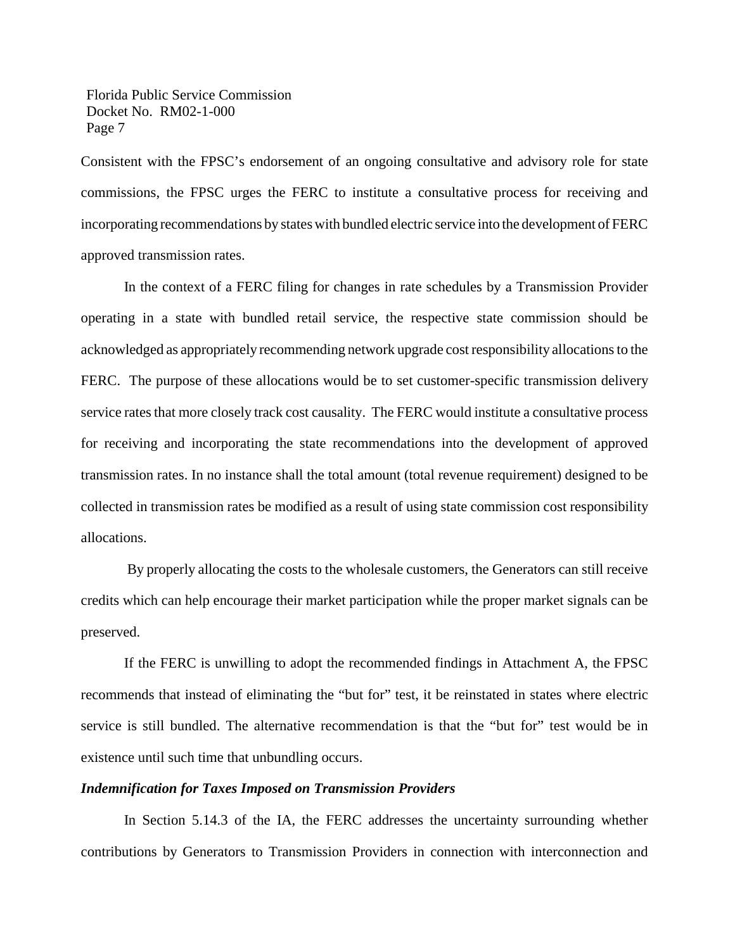Consistent with the FPSC's endorsement of an ongoing consultative and advisory role for state commissions, the FPSC urges the FERC to institute a consultative process for receiving and incorporating recommendations by states with bundled electric service into the development of FERC approved transmission rates.

In the context of a FERC filing for changes in rate schedules by a Transmission Provider operating in a state with bundled retail service, the respective state commission should be acknowledged as appropriately recommending network upgrade cost responsibility allocationsto the FERC. The purpose of these allocations would be to set customer-specific transmission delivery service rates that more closely track cost causality. The FERC would institute a consultative process for receiving and incorporating the state recommendations into the development of approved transmission rates. In no instance shall the total amount (total revenue requirement) designed to be collected in transmission rates be modified as a result of using state commission cost responsibility allocations.

By properly allocating the costs to the wholesale customers, the Generators can still receive credits which can help encourage their market participation while the proper market signals can be preserved.

If the FERC is unwilling to adopt the recommended findings in Attachment A, the FPSC recommends that instead of eliminating the "but for" test, it be reinstated in states where electric service is still bundled. The alternative recommendation is that the "but for" test would be in existence until such time that unbundling occurs.

#### *Indemnification for Taxes Imposed on Transmission Providers*

In Section 5.14.3 of the IA, the FERC addresses the uncertainty surrounding whether contributions by Generators to Transmission Providers in connection with interconnection and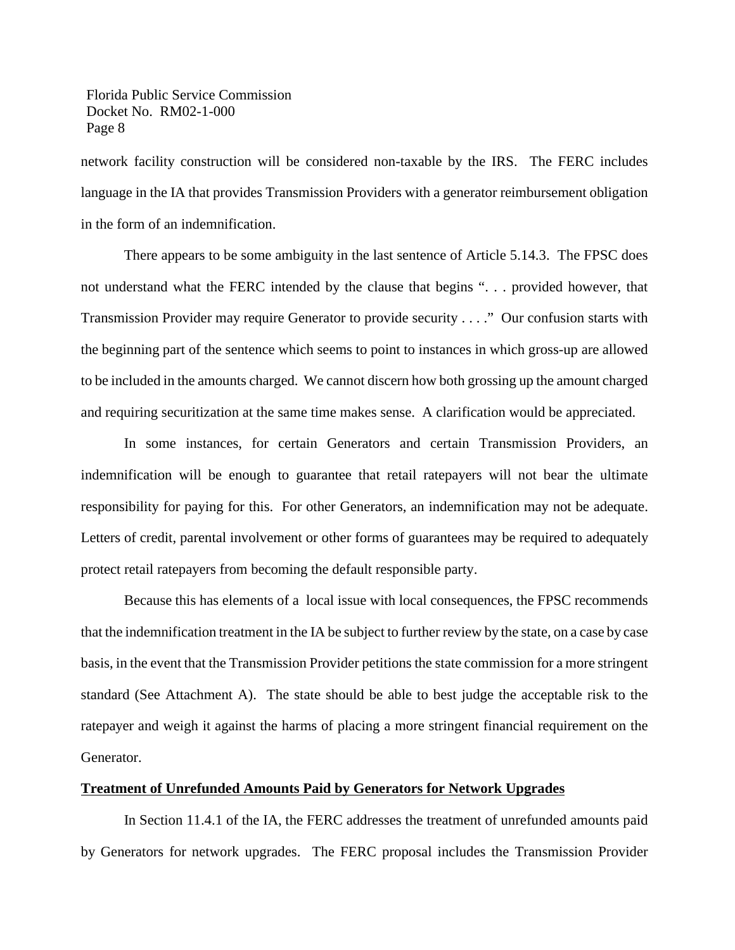network facility construction will be considered non-taxable by the IRS. The FERC includes language in the IA that provides Transmission Providers with a generator reimbursement obligation in the form of an indemnification.

There appears to be some ambiguity in the last sentence of Article 5.14.3. The FPSC does not understand what the FERC intended by the clause that begins ". . . provided however, that Transmission Provider may require Generator to provide security . . . ." Our confusion starts with the beginning part of the sentence which seems to point to instances in which gross-up are allowed to be included in the amounts charged. We cannot discern how both grossing up the amount charged and requiring securitization at the same time makes sense. A clarification would be appreciated.

In some instances, for certain Generators and certain Transmission Providers, an indemnification will be enough to guarantee that retail ratepayers will not bear the ultimate responsibility for paying for this. For other Generators, an indemnification may not be adequate. Letters of credit, parental involvement or other forms of guarantees may be required to adequately protect retail ratepayers from becoming the default responsible party.

Because this has elements of a local issue with local consequences, the FPSC recommends that the indemnification treatment in the IA be subject to further review by the state, on a case by case basis, in the event that the Transmission Provider petitions the state commission for a more stringent standard (See Attachment A). The state should be able to best judge the acceptable risk to the ratepayer and weigh it against the harms of placing a more stringent financial requirement on the Generator.

#### **Treatment of Unrefunded Amounts Paid by Generators for Network Upgrades**

In Section 11.4.1 of the IA, the FERC addresses the treatment of unrefunded amounts paid by Generators for network upgrades. The FERC proposal includes the Transmission Provider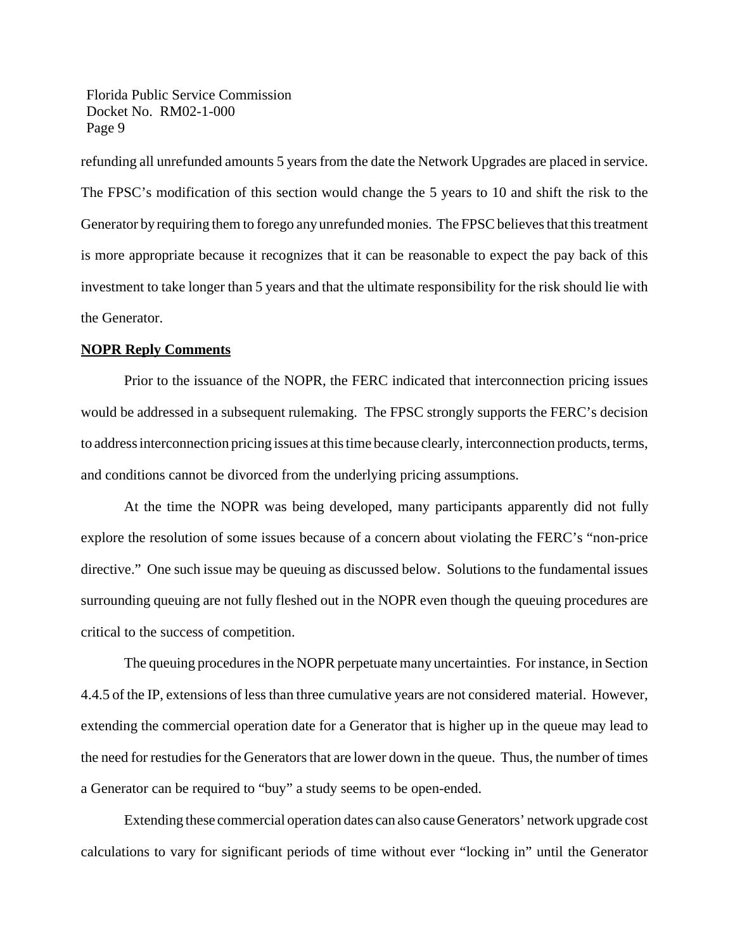refunding all unrefunded amounts 5 years from the date the Network Upgrades are placed in service. The FPSC's modification of this section would change the 5 years to 10 and shift the risk to the Generator by requiring them to forego any unrefunded monies. The FPSC believes that this treatment is more appropriate because it recognizes that it can be reasonable to expect the pay back of this investment to take longer than 5 years and that the ultimate responsibility for the risk should lie with the Generator.

### **NOPR Reply Comments**

Prior to the issuance of the NOPR, the FERC indicated that interconnection pricing issues would be addressed in a subsequent rulemaking. The FPSC strongly supports the FERC's decision to addressinterconnection pricing issues at thistime because clearly, interconnection products, terms, and conditions cannot be divorced from the underlying pricing assumptions.

At the time the NOPR was being developed, many participants apparently did not fully explore the resolution of some issues because of a concern about violating the FERC's "non-price directive." One such issue may be queuing as discussed below. Solutions to the fundamental issues surrounding queuing are not fully fleshed out in the NOPR even though the queuing procedures are critical to the success of competition.

The queuing procedures in the NOPR perpetuate many uncertainties. For instance, in Section 4.4.5 of the IP, extensions of less than three cumulative years are not considered material. However, extending the commercial operation date for a Generator that is higher up in the queue may lead to the need for restudies for the Generators that are lower down in the queue. Thus, the number of times a Generator can be required to "buy" a study seems to be open-ended.

Extending these commercial operation dates can also cause Generators' network upgrade cost calculations to vary for significant periods of time without ever "locking in" until the Generator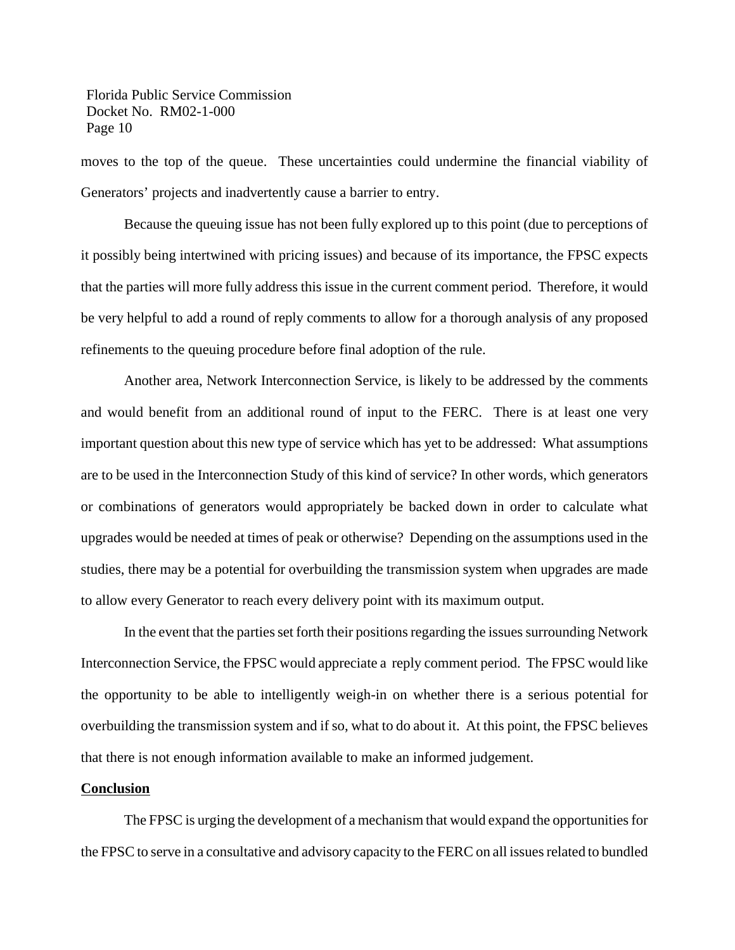moves to the top of the queue. These uncertainties could undermine the financial viability of Generators' projects and inadvertently cause a barrier to entry.

Because the queuing issue has not been fully explored up to this point (due to perceptions of it possibly being intertwined with pricing issues) and because of its importance, the FPSC expects that the parties will more fully address this issue in the current comment period. Therefore, it would be very helpful to add a round of reply comments to allow for a thorough analysis of any proposed refinements to the queuing procedure before final adoption of the rule.

Another area, Network Interconnection Service, is likely to be addressed by the comments and would benefit from an additional round of input to the FERC. There is at least one very important question about this new type of service which has yet to be addressed: What assumptions are to be used in the Interconnection Study of this kind of service? In other words, which generators or combinations of generators would appropriately be backed down in order to calculate what upgrades would be needed at times of peak or otherwise? Depending on the assumptions used in the studies, there may be a potential for overbuilding the transmission system when upgrades are made to allow every Generator to reach every delivery point with its maximum output.

In the event that the parties set forth their positions regarding the issues surrounding Network Interconnection Service, the FPSC would appreciate a reply comment period. The FPSC would like the opportunity to be able to intelligently weigh-in on whether there is a serious potential for overbuilding the transmission system and if so, what to do about it. At this point, the FPSC believes that there is not enough information available to make an informed judgement.

#### **Conclusion**

The FPSC is urging the development of a mechanism that would expand the opportunities for the FPSC to serve in a consultative and advisory capacity to the FERC on all issuesrelated to bundled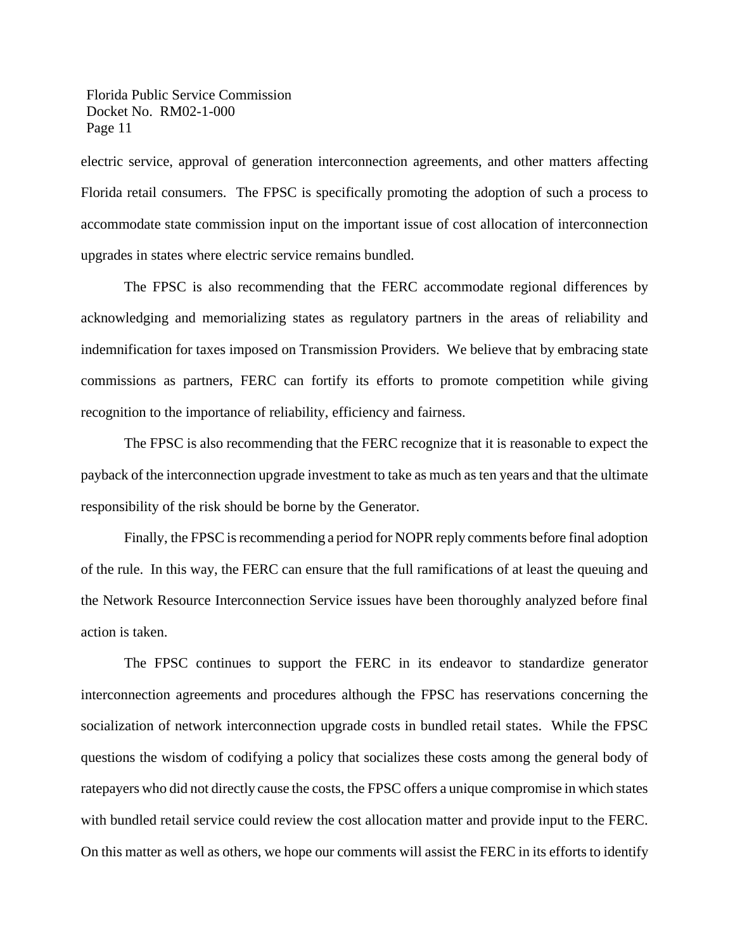electric service, approval of generation interconnection agreements, and other matters affecting Florida retail consumers. The FPSC is specifically promoting the adoption of such a process to accommodate state commission input on the important issue of cost allocation of interconnection upgrades in states where electric service remains bundled.

The FPSC is also recommending that the FERC accommodate regional differences by acknowledging and memorializing states as regulatory partners in the areas of reliability and indemnification for taxes imposed on Transmission Providers. We believe that by embracing state commissions as partners, FERC can fortify its efforts to promote competition while giving recognition to the importance of reliability, efficiency and fairness.

The FPSC is also recommending that the FERC recognize that it is reasonable to expect the payback of the interconnection upgrade investment to take as much as ten years and that the ultimate responsibility of the risk should be borne by the Generator.

Finally, the FPSC is recommending a period for NOPR reply comments before final adoption of the rule. In this way, the FERC can ensure that the full ramifications of at least the queuing and the Network Resource Interconnection Service issues have been thoroughly analyzed before final action is taken.

The FPSC continues to support the FERC in its endeavor to standardize generator interconnection agreements and procedures although the FPSC has reservations concerning the socialization of network interconnection upgrade costs in bundled retail states. While the FPSC questions the wisdom of codifying a policy that socializes these costs among the general body of ratepayers who did not directly cause the costs, the FPSC offers a unique compromise in which states with bundled retail service could review the cost allocation matter and provide input to the FERC. On this matter as well as others, we hope our comments will assist the FERC in its efforts to identify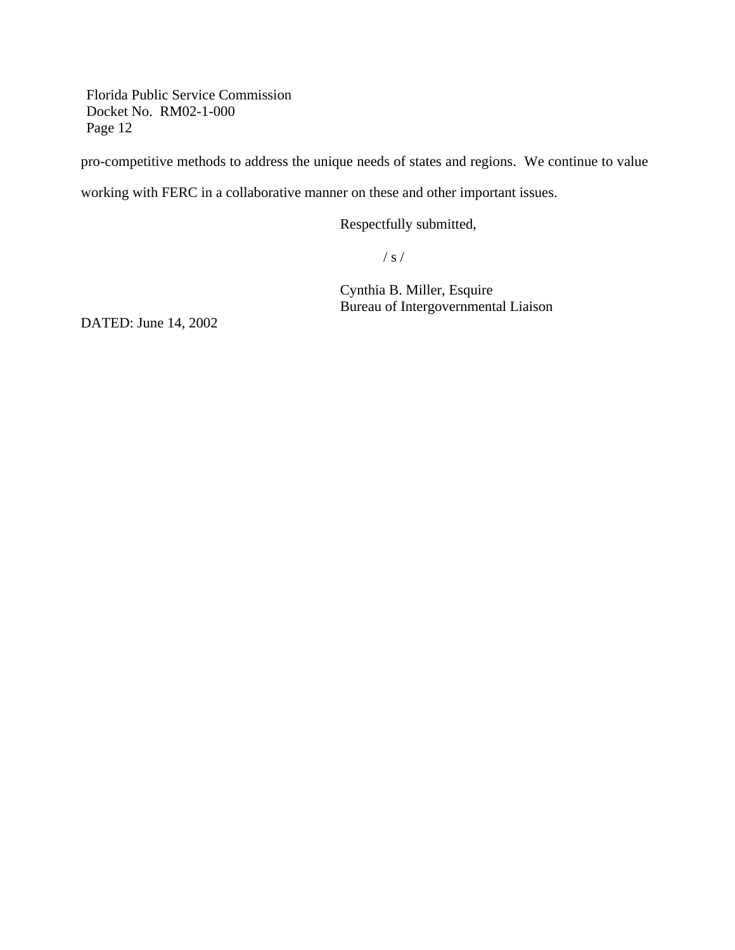pro-competitive methods to address the unique needs of states and regions. We continue to value

working with FERC in a collaborative manner on these and other important issues.

Respectfully submitted,

/ s /

Cynthia B. Miller, Esquire Bureau of Intergovernmental Liaison

DATED: June 14, 2002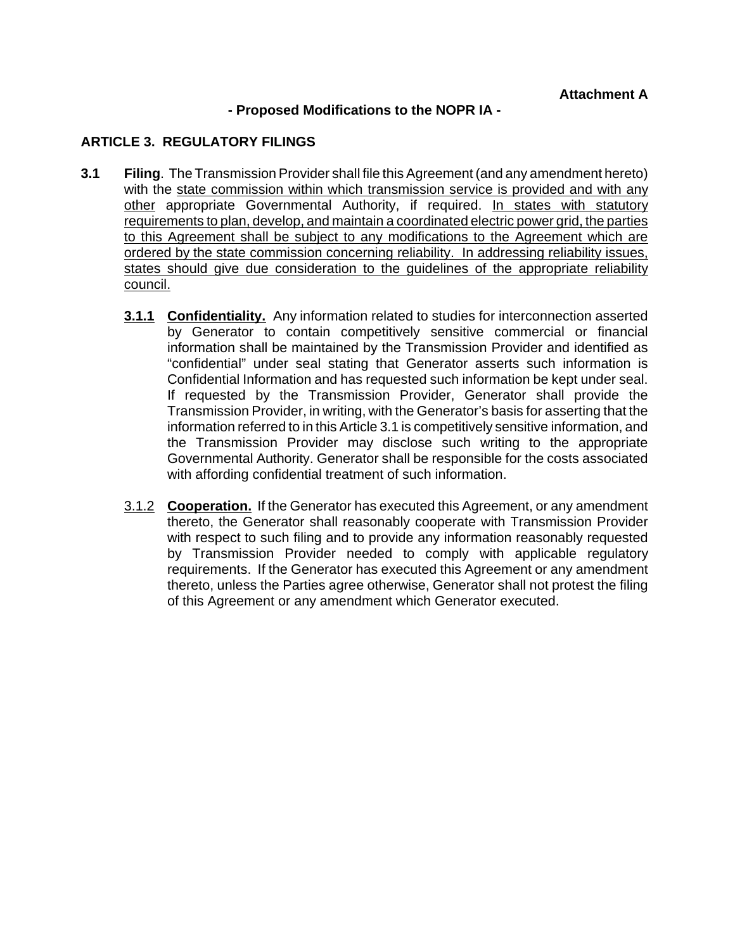## **- Proposed Modifications to the NOPR IA -**

# **ARTICLE 3. REGULATORY FILINGS**

- **3.1 Filing**. The Transmission Provider shall file this Agreement (and any amendment hereto) with the state commission within which transmission service is provided and with any other appropriate Governmental Authority, if required. In states with statutory requirements to plan, develop, and maintain a coordinated electric power grid, the parties to this Agreement shall be subject to any modifications to the Agreement which are ordered by the state commission concerning reliability. In addressing reliability issues, states should give due consideration to the guidelines of the appropriate reliability council.
	- **3.1.1 Confidentiality.** Any information related to studies for interconnection asserted by Generator to contain competitively sensitive commercial or financial information shall be maintained by the Transmission Provider and identified as "confidential" under seal stating that Generator asserts such information is Confidential Information and has requested such information be kept under seal. If requested by the Transmission Provider, Generator shall provide the Transmission Provider, in writing, with the Generator's basis for asserting that the information referred to in this Article 3.1 is competitively sensitive information, and the Transmission Provider may disclose such writing to the appropriate Governmental Authority. Generator shall be responsible for the costs associated with affording confidential treatment of such information.
	- 3.1.2 **Cooperation.** If the Generator has executed this Agreement, or any amendment thereto, the Generator shall reasonably cooperate with Transmission Provider with respect to such filing and to provide any information reasonably requested by Transmission Provider needed to comply with applicable regulatory requirements. If the Generator has executed this Agreement or any amendment thereto, unless the Parties agree otherwise, Generator shall not protest the filing of this Agreement or any amendment which Generator executed.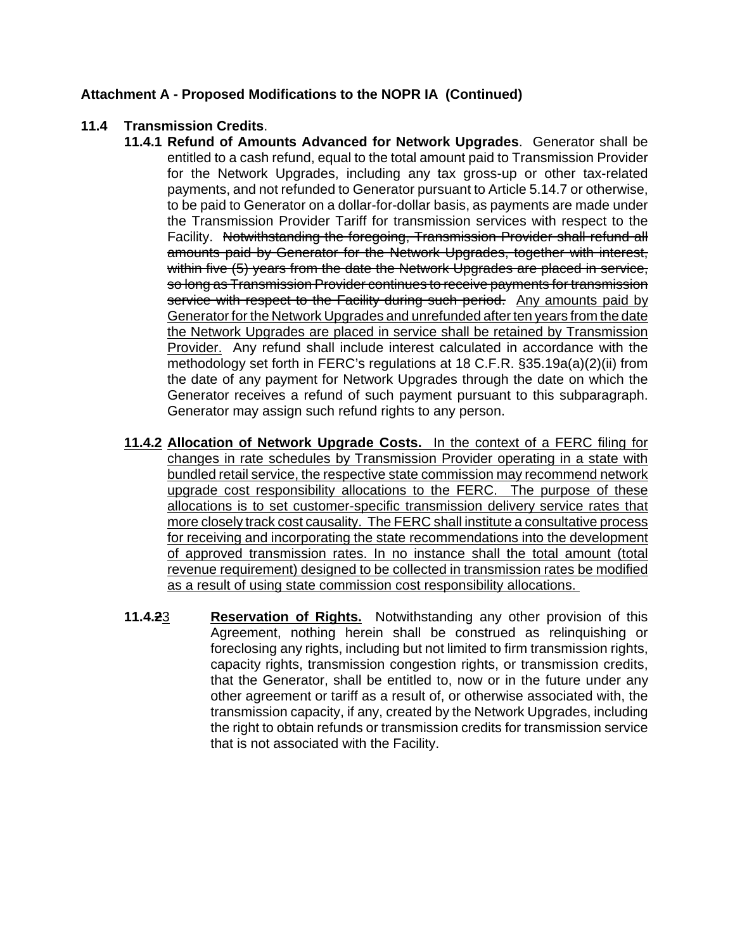# **Attachment A - Proposed Modifications to the NOPR IA (Continued)**

# **11.4 Transmission Credits**.

- **11.4.1 Refund of Amounts Advanced for Network Upgrades**. Generator shall be entitled to a cash refund, equal to the total amount paid to Transmission Provider for the Network Upgrades, including any tax gross-up or other tax-related payments, and not refunded to Generator pursuant to Article 5.14.7 or otherwise, to be paid to Generator on a dollar-for-dollar basis, as payments are made under the Transmission Provider Tariff for transmission services with respect to the Facility. Notwithstanding the foregoing, Transmission Provider shall refund all amounts paid by Generator for the Network Upgrades, together with interest, within five (5) years from the date the Network Upgrades are placed in service, so long as Transmission Provider continues to receive payments for transmission service with respect to the Facility during such period. Any amounts paid by Generator for the Network Upgrades and unrefunded after ten years from the date the Network Upgrades are placed in service shall be retained by Transmission Provider. Any refund shall include interest calculated in accordance with the methodology set forth in FERC's regulations at 18 C.F.R. §35.19a(a)(2)(ii) from the date of any payment for Network Upgrades through the date on which the Generator receives a refund of such payment pursuant to this subparagraph. Generator may assign such refund rights to any person.
- **11.4.2 Allocation of Network Upgrade Costs.** In the context of a FERC filing for changes in rate schedules by Transmission Provider operating in a state with bundled retail service, the respective state commission may recommend network upgrade cost responsibility allocations to the FERC. The purpose of these allocations is to set customer-specific transmission delivery service rates that more closely track cost causality. The FERC shall institute a consultative process for receiving and incorporating the state recommendations into the development of approved transmission rates. In no instance shall the total amount (total revenue requirement) designed to be collected in transmission rates be modified as a result of using state commission cost responsibility allocations.
- **11.4.2**3 **Reservation of Rights.** Notwithstanding any other provision of this Agreement, nothing herein shall be construed as relinquishing or foreclosing any rights, including but not limited to firm transmission rights, capacity rights, transmission congestion rights, or transmission credits, that the Generator, shall be entitled to, now or in the future under any other agreement or tariff as a result of, or otherwise associated with, the transmission capacity, if any, created by the Network Upgrades, including the right to obtain refunds or transmission credits for transmission service that is not associated with the Facility.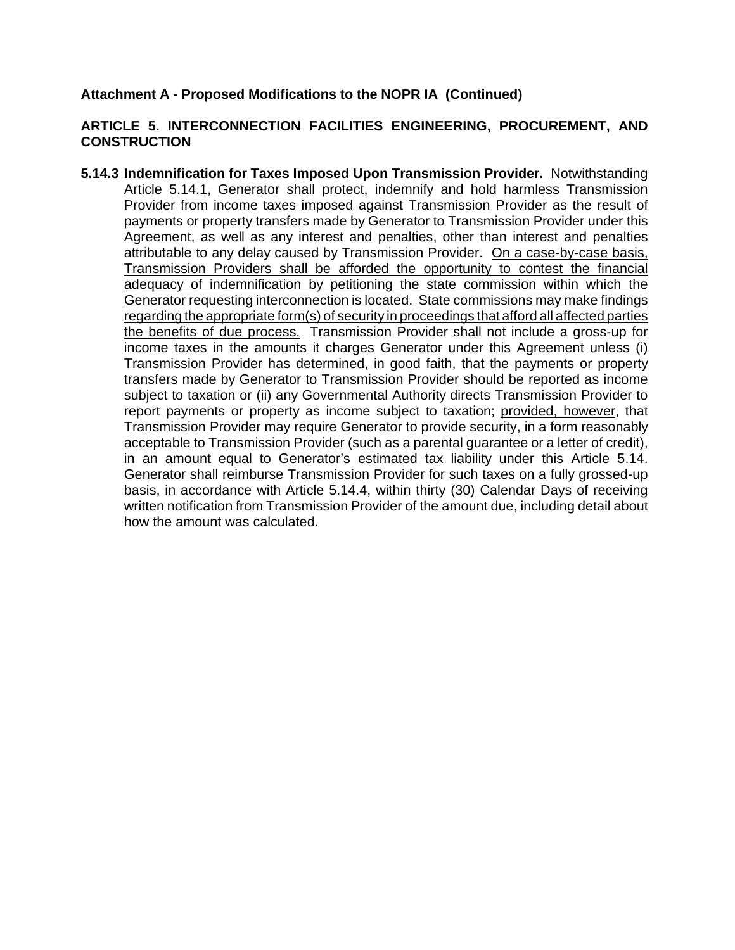# **Attachment A - Proposed Modifications to the NOPR IA (Continued)**

# **ARTICLE 5. INTERCONNECTION FACILITIES ENGINEERING, PROCUREMENT, AND CONSTRUCTION**

**5.14.3 Indemnification for Taxes Imposed Upon Transmission Provider.** Notwithstanding Article 5.14.1, Generator shall protect, indemnify and hold harmless Transmission Provider from income taxes imposed against Transmission Provider as the result of payments or property transfers made by Generator to Transmission Provider under this Agreement, as well as any interest and penalties, other than interest and penalties attributable to any delay caused by Transmission Provider. On a case-by-case basis, Transmission Providers shall be afforded the opportunity to contest the financial adequacy of indemnification by petitioning the state commission within which the Generator requesting interconnection is located. State commissions may make findings regarding the appropriate form(s) of security in proceedings that afford all affected parties the benefits of due process. Transmission Provider shall not include a gross-up for income taxes in the amounts it charges Generator under this Agreement unless (i) Transmission Provider has determined, in good faith, that the payments or property transfers made by Generator to Transmission Provider should be reported as income subject to taxation or (ii) any Governmental Authority directs Transmission Provider to report payments or property as income subject to taxation; provided, however, that Transmission Provider may require Generator to provide security, in a form reasonably acceptable to Transmission Provider (such as a parental guarantee or a letter of credit), in an amount equal to Generator's estimated tax liability under this Article 5.14. Generator shall reimburse Transmission Provider for such taxes on a fully grossed-up basis, in accordance with Article 5.14.4, within thirty (30) Calendar Days of receiving written notification from Transmission Provider of the amount due, including detail about how the amount was calculated.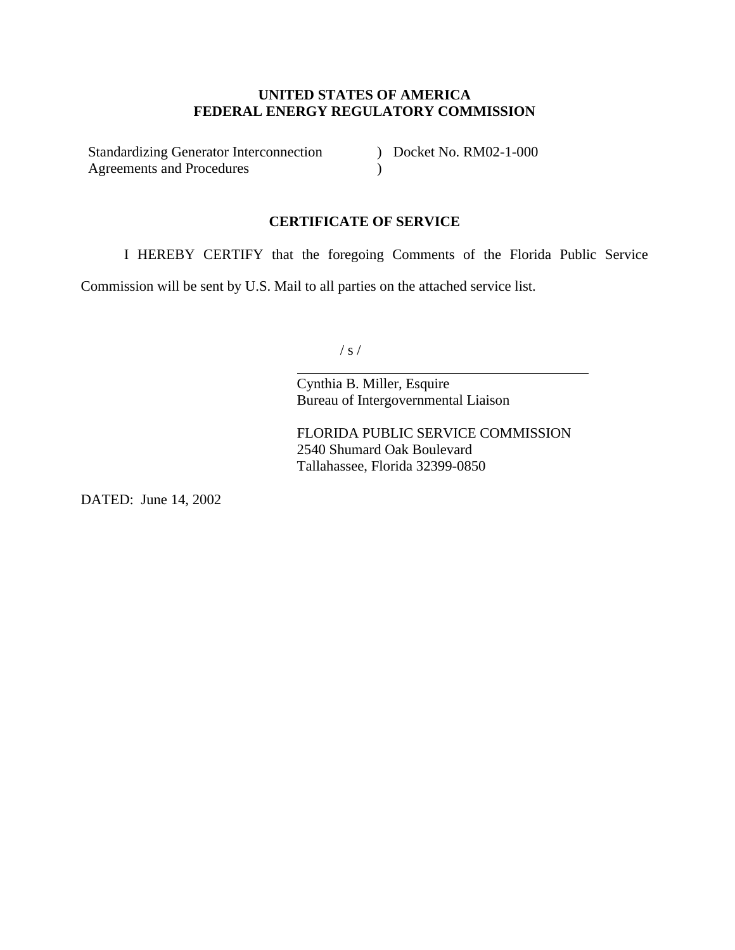## **UNITED STATES OF AMERICA FEDERAL ENERGY REGULATORY COMMISSION**

Standardizing Generator Interconnection Agreements and Procedures  $\lambda$ 

) Docket No. RM02-1-000

## **CERTIFICATE OF SERVICE**

I HEREBY CERTIFY that the foregoing Comments of the Florida Public Service

Commission will be sent by U.S. Mail to all parties on the attached service list.

 $\overline{a}$ 

/ s /

Cynthia B. Miller, Esquire Bureau of Intergovernmental Liaison

FLORIDA PUBLIC SERVICE COMMISSION 2540 Shumard Oak Boulevard Tallahassee, Florida 32399-0850

DATED: June 14, 2002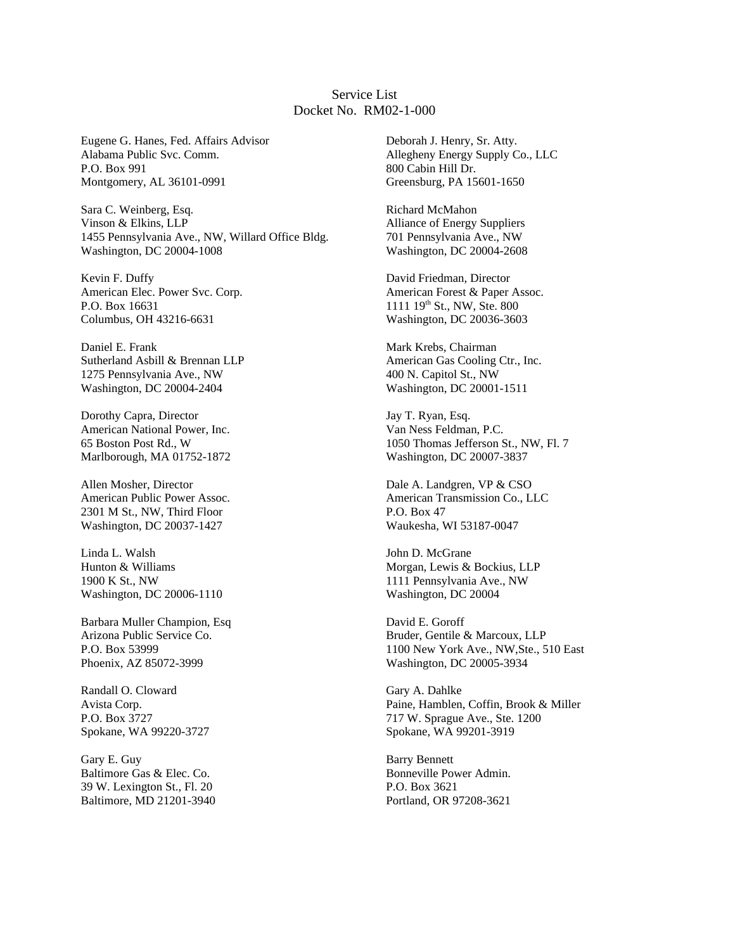#### Service List Docket No. RM02-1-000

Eugene G. Hanes, Fed. Affairs Advisor Alabama Public Svc. Comm. P.O. Box 991 Montgomery, AL 36101-0991

Sara C. Weinberg, Esq. Vinson & Elkins, LLP 1455 Pennsylvania Ave., NW, Willard Office Bldg. Washington, DC 20004-1008

Kevin F. Duffy American Elec. Power Svc. Corp. P.O. Box 16631 Columbus, OH 43216-6631

Daniel E. Frank Sutherland Asbill & Brennan LLP 1275 Pennsylvania Ave., NW Washington, DC 20004-2404

Dorothy Capra, Director American National Power, Inc. 65 Boston Post Rd., W Marlborough, MA 01752-1872

Allen Mosher, Director American Public Power Assoc. 2301 M St., NW, Third Floor Washington, DC 20037-1427

Linda L. Walsh Hunton & Williams 1900 K St., NW Washington, DC 20006-1110

Barbara Muller Champion, Esq Arizona Public Service Co. P.O. Box 53999 Phoenix, AZ 85072-3999

Randall O. Cloward Avista Corp. P.O. Box 3727 Spokane, WA 99220-3727

Gary E. Guy Baltimore Gas & Elec. Co. 39 W. Lexington St., Fl. 20 Baltimore, MD 21201-3940

Deborah J. Henry, Sr. Atty. Allegheny Energy Supply Co., LLC 800 Cabin Hill Dr. Greensburg, PA 15601-1650

Richard McMahon Alliance of Energy Suppliers 701 Pennsylvania Ave., NW Washington, DC 20004-2608

David Friedman, Director American Forest & Paper Assoc. 1111 19<sup>th</sup> St., NW, Ste. 800 Washington, DC 20036-3603

Mark Krebs, Chairman American Gas Cooling Ctr., Inc. 400 N. Capitol St., NW Washington, DC 20001-1511

Jay T. Ryan, Esq. Van Ness Feldman, P.C. 1050 Thomas Jefferson St., NW, Fl. 7 Washington, DC 20007-3837

Dale A. Landgren, VP & CSO American Transmission Co., LLC P.O. Box 47 Waukesha, WI 53187-0047

John D. McGrane Morgan, Lewis & Bockius, LLP 1111 Pennsylvania Ave., NW Washington, DC 20004

David E. Goroff Bruder, Gentile & Marcoux, LLP 1100 New York Ave., NW,Ste., 510 East Washington, DC 20005-3934

Gary A. Dahlke Paine, Hamblen, Coffin, Brook & Miller 717 W. Sprague Ave., Ste. 1200 Spokane, WA 99201-3919

Barry Bennett Bonneville Power Admin. P.O. Box 3621 Portland, OR 97208-3621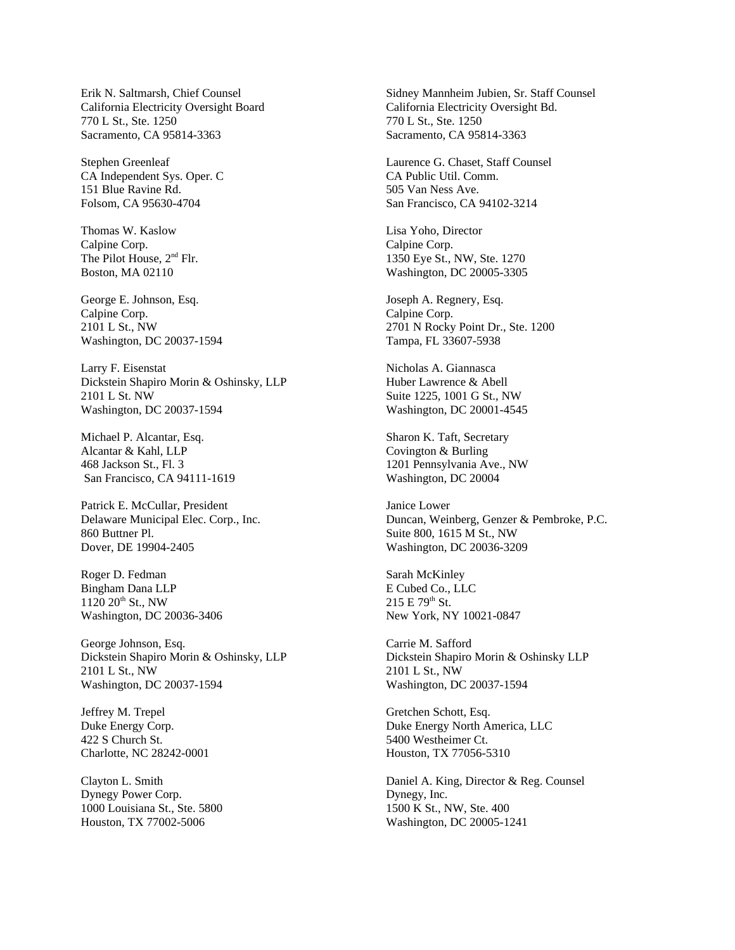Erik N. Saltmarsh, Chief Counsel California Electricity Oversight Board 770 L St., Ste. 1250 Sacramento, CA 95814-3363

Stephen Greenleaf CA Independent Sys. Oper. C 151 Blue Ravine Rd. Folsom, CA 95630-4704

Thomas W. Kaslow Calpine Corp. The Pilot House, 2<sup>nd</sup> Flr. Boston, MA 02110

George E. Johnson, Esq. Calpine Corp. 2101 L St., NW Washington, DC 20037-1594

Larry F. Eisenstat Dickstein Shapiro Morin & Oshinsky, LLP 2101 L St. NW Washington, DC 20037-1594

Michael P. Alcantar, Esq. Alcantar & Kahl, LLP 468 Jackson St., Fl. 3 San Francisco, CA 94111-1619

Patrick E. McCullar, President Delaware Municipal Elec. Corp., Inc. 860 Buttner Pl. Dover, DE 19904-2405

Roger D. Fedman Bingham Dana LLP  $1120\ 20$ <sup>th</sup> St., NW Washington, DC 20036-3406

George Johnson, Esq. Dickstein Shapiro Morin & Oshinsky, LLP 2101 L St., NW Washington, DC 20037-1594

Jeffrey M. Trepel Duke Energy Corp. 422 S Church St. Charlotte, NC 28242-0001

Clayton L. Smith Dynegy Power Corp. 1000 Louisiana St., Ste. 5800 Houston, TX 77002-5006

Sidney Mannheim Jubien, Sr. Staff Counsel California Electricity Oversight Bd. 770 L St., Ste. 1250 Sacramento, CA 95814-3363

Laurence G. Chaset, Staff Counsel CA Public Util. Comm. 505 Van Ness Ave. San Francisco, CA 94102-3214

Lisa Yoho, Director Calpine Corp. 1350 Eye St., NW, Ste. 1270 Washington, DC 20005-3305

Joseph A. Regnery, Esq. Calpine Corp. 2701 N Rocky Point Dr., Ste. 1200 Tampa, FL 33607-5938

Nicholas A. Giannasca Huber Lawrence & Abell Suite 1225, 1001 G St., NW Washington, DC 20001-4545

Sharon K. Taft, Secretary Covington & Burling 1201 Pennsylvania Ave., NW Washington, DC 20004

Janice Lower Duncan, Weinberg, Genzer & Pembroke, P.C. Suite 800, 1615 M St., NW Washington, DC 20036-3209

Sarah McKinley E Cubed Co., LLC  $215 E 79^{th}$  St. New York, NY 10021-0847

Carrie M. Safford Dickstein Shapiro Morin & Oshinsky LLP 2101 L St., NW Washington, DC 20037-1594

Gretchen Schott, Esq. Duke Energy North America, LLC 5400 Westheimer Ct. Houston, TX 77056-5310

Daniel A. King, Director & Reg. Counsel Dynegy, Inc. 1500 K St., NW, Ste. 400 Washington, DC 20005-1241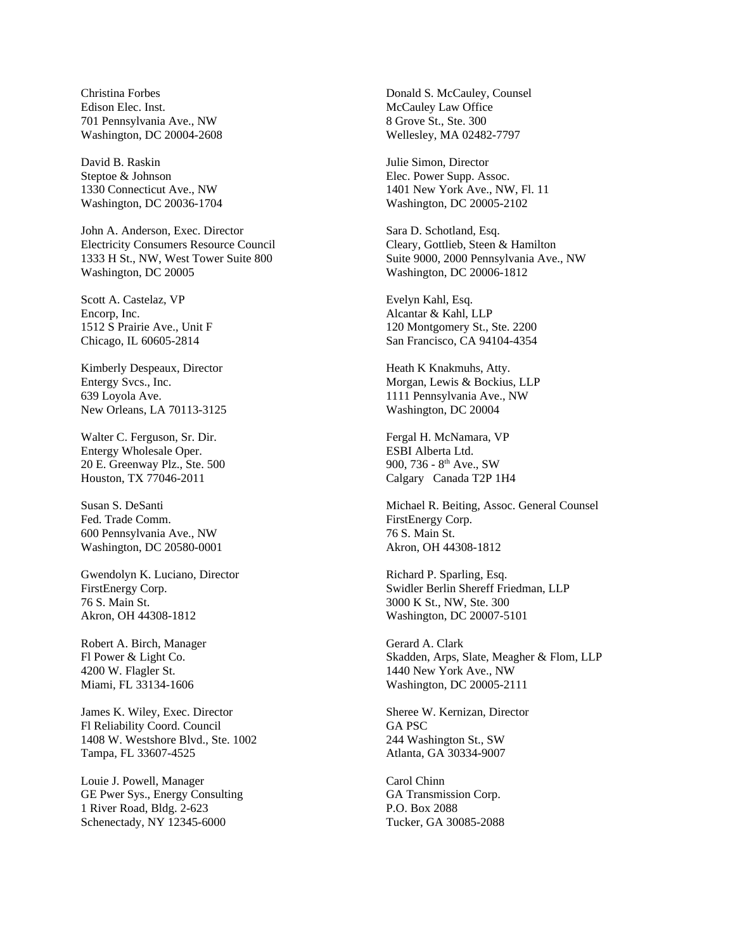Christina Forbes Edison Elec. Inst. 701 Pennsylvania Ave., NW Washington, DC 20004-2608

David B. Raskin Steptoe & Johnson 1330 Connecticut Ave., NW Washington, DC 20036-1704

John A. Anderson, Exec. Director Electricity Consumers Resource Council 1333 H St., NW, West Tower Suite 800 Washington, DC 20005

Scott A. Castelaz, VP Encorp, Inc. 1512 S Prairie Ave., Unit F Chicago, IL 60605-2814

Kimberly Despeaux, Director Entergy Svcs., Inc. 639 Loyola Ave. New Orleans, LA 70113-3125

Walter C. Ferguson, Sr. Dir. Entergy Wholesale Oper. 20 E. Greenway Plz., Ste. 500 Houston, TX 77046-2011

Susan S. DeSanti Fed. Trade Comm. 600 Pennsylvania Ave., NW Washington, DC 20580-0001

Gwendolyn K. Luciano, Director FirstEnergy Corp. 76 S. Main St. Akron, OH 44308-1812

Robert A. Birch, Manager Fl Power & Light Co. 4200 W. Flagler St. Miami, FL 33134-1606

James K. Wiley, Exec. Director Fl Reliability Coord. Council 1408 W. Westshore Blvd., Ste. 1002 Tampa, FL 33607-4525

Louie J. Powell, Manager GE Pwer Sys., Energy Consulting 1 River Road, Bldg. 2-623 Schenectady, NY 12345-6000

Donald S. McCauley, Counsel McCauley Law Office 8 Grove St., Ste. 300 Wellesley, MA 02482-7797

Julie Simon, Director Elec. Power Supp. Assoc. 1401 New York Ave., NW, Fl. 11 Washington, DC 20005-2102

Sara D. Schotland, Esq. Cleary, Gottlieb, Steen & Hamilton Suite 9000, 2000 Pennsylvania Ave., NW Washington, DC 20006-1812

Evelyn Kahl, Esq. Alcantar & Kahl, LLP 120 Montgomery St., Ste. 2200 San Francisco, CA 94104-4354

Heath K Knakmuhs, Atty. Morgan, Lewis & Bockius, LLP 1111 Pennsylvania Ave., NW Washington, DC 20004

Fergal H. McNamara, VP ESBI Alberta Ltd. 900, 736 -  $8<sup>th</sup>$  Ave., SW Calgary Canada T2P 1H4

Michael R. Beiting, Assoc. General Counsel FirstEnergy Corp. 76 S. Main St. Akron, OH 44308-1812

Richard P. Sparling, Esq. Swidler Berlin Shereff Friedman, LLP 3000 K St., NW, Ste. 300 Washington, DC 20007-5101

Gerard A. Clark Skadden, Arps, Slate, Meagher & Flom, LLP 1440 New York Ave., NW Washington, DC 20005-2111

Sheree W. Kernizan, Director GA PSC 244 Washington St., SW Atlanta, GA 30334-9007

Carol Chinn GA Transmission Corp. P.O. Box 2088 Tucker, GA 30085-2088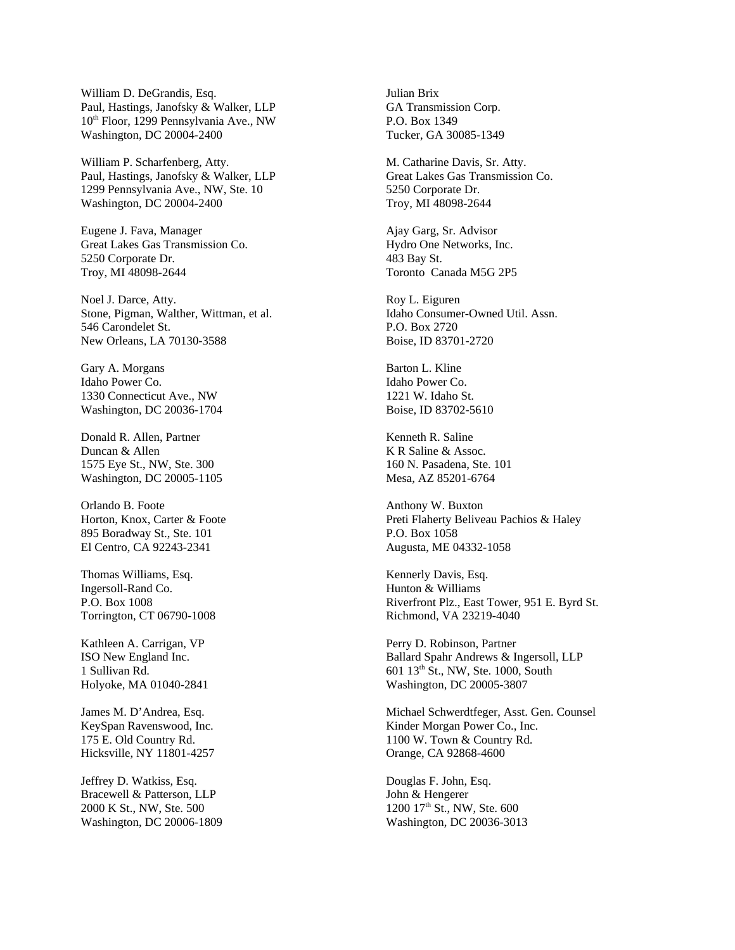William D. DeGrandis, Esq. Paul, Hastings, Janofsky & Walker, LLP 10<sup>th</sup> Floor, 1299 Pennsylvania Ave., NW Washington, DC 20004-2400

William P. Scharfenberg, Atty. Paul, Hastings, Janofsky & Walker, LLP 1299 Pennsylvania Ave., NW, Ste. 10 Washington, DC 20004-2400

Eugene J. Fava, Manager Great Lakes Gas Transmission Co. 5250 Corporate Dr. Troy, MI 48098-2644

Noel J. Darce, Atty. Stone, Pigman, Walther, Wittman, et al. 546 Carondelet St. New Orleans, LA 70130-3588

Gary A. Morgans Idaho Power Co. 1330 Connecticut Ave., NW Washington, DC 20036-1704

Donald R. Allen, Partner Duncan & Allen 1575 Eye St., NW, Ste. 300 Washington, DC 20005-1105

Orlando B. Foote Horton, Knox, Carter & Foote 895 Boradway St., Ste. 101 El Centro, CA 92243-2341

Thomas Williams, Esq. Ingersoll-Rand Co. P.O. Box 1008 Torrington, CT 06790-1008

Kathleen A. Carrigan, VP ISO New England Inc. 1 Sullivan Rd. Holyoke, MA 01040-2841

James M. D'Andrea, Esq. KeySpan Ravenswood, Inc. 175 E. Old Country Rd. Hicksville, NY 11801-4257

Jeffrey D. Watkiss, Esq. Bracewell & Patterson, LLP 2000 K St., NW, Ste. 500 Washington, DC 20006-1809 Julian Brix GA Transmission Corp. P.O. Box 1349 Tucker, GA 30085-1349

M. Catharine Davis, Sr. Atty. Great Lakes Gas Transmission Co. 5250 Corporate Dr. Troy, MI 48098-2644

Ajay Garg, Sr. Advisor Hydro One Networks, Inc. 483 Bay St. Toronto Canada M5G 2P5

Roy L. Eiguren Idaho Consumer-Owned Util. Assn. P.O. Box 2720 Boise, ID 83701-2720

Barton L. Kline Idaho Power Co. 1221 W. Idaho St. Boise, ID 83702-5610

Kenneth R. Saline K R Saline & Assoc. 160 N. Pasadena, Ste. 101 Mesa, AZ 85201-6764

Anthony W. Buxton Preti Flaherty Beliveau Pachios & Haley P.O. Box 1058 Augusta, ME 04332-1058

Kennerly Davis, Esq. Hunton & Williams Riverfront Plz., East Tower, 951 E. Byrd St. Richmond, VA 23219-4040

Perry D. Robinson, Partner Ballard Spahr Andrews & Ingersoll, LLP 601 13th St., NW, Ste. 1000, South Washington, DC 20005-3807

Michael Schwerdtfeger, Asst. Gen. Counsel Kinder Morgan Power Co., Inc. 1100 W. Town & Country Rd. Orange, CA 92868-4600

Douglas F. John, Esq. John & Hengerer 1200 17<sup>th</sup> St., NW, Ste. 600 Washington, DC 20036-3013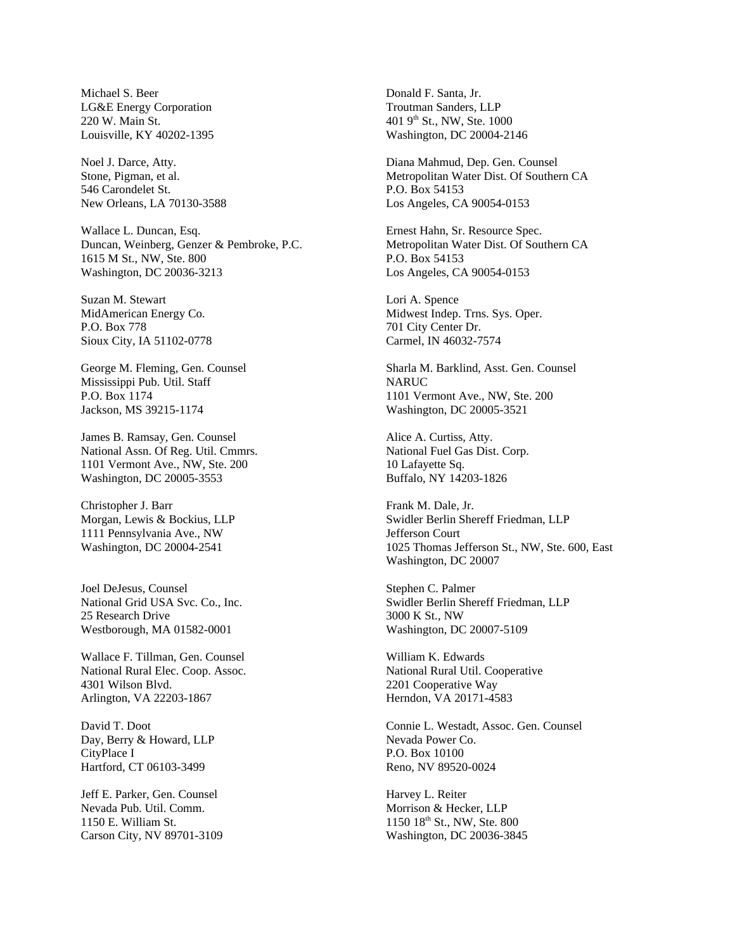Michael S. Beer LG&E Energy Corporation 220 W. Main St. Louisville, KY 40202-1395

Noel J. Darce, Atty. Stone, Pigman, et al. 546 Carondelet St. New Orleans, LA 70130-3588

Wallace L. Duncan, Esq. Duncan, Weinberg, Genzer & Pembroke, P.C. 1615 M St., NW, Ste. 800 Washington, DC 20036-3213

Suzan M. Stewart MidAmerican Energy Co. P.O. Box 778 Sioux City, IA 51102-0778

George M. Fleming, Gen. Counsel Mississippi Pub. Util. Staff P.O. Box 1174 Jackson, MS 39215-1174

James B. Ramsay, Gen. Counsel National Assn. Of Reg. Util. Cmmrs. 1101 Vermont Ave., NW, Ste. 200 Washington, DC 20005-3553

Christopher J. Barr Morgan, Lewis & Bockius, LLP 1111 Pennsylvania Ave., NW Washington, DC 20004-2541

Joel DeJesus, Counsel National Grid USA Svc. Co., Inc. 25 Research Drive Westborough, MA 01582-0001

Wallace F. Tillman, Gen. Counsel National Rural Elec. Coop. Assoc. 4301 Wilson Blvd. Arlington, VA 22203-1867

David T. Doot Day, Berry & Howard, LLP CityPlace I Hartford, CT 06103-3499

Jeff E. Parker, Gen. Counsel Nevada Pub. Util. Comm. 1150 E. William St. Carson City, NV 89701-3109 Donald F. Santa, Jr. Troutman Sanders, LLP 401 9<sup>th</sup> St., NW, Ste. 1000 Washington, DC 20004-2146

Diana Mahmud, Dep. Gen. Counsel Metropolitan Water Dist. Of Southern CA P.O. Box 54153 Los Angeles, CA 90054-0153

Ernest Hahn, Sr. Resource Spec. Metropolitan Water Dist. Of Southern CA P.O. Box 54153 Los Angeles, CA 90054-0153

Lori A. Spence Midwest Indep. Trns. Sys. Oper. 701 City Center Dr. Carmel, IN 46032-7574

Sharla M. Barklind, Asst. Gen. Counsel NARUC 1101 Vermont Ave., NW, Ste. 200 Washington, DC 20005-3521

Alice A. Curtiss, Atty. National Fuel Gas Dist. Corp. 10 Lafayette Sq. Buffalo, NY 14203-1826

Frank M. Dale, Jr. Swidler Berlin Shereff Friedman, LLP Jefferson Court 1025 Thomas Jefferson St., NW, Ste. 600, East Washington, DC 20007

Stephen C. Palmer Swidler Berlin Shereff Friedman, LLP 3000 K St., NW Washington, DC 20007-5109

William K. Edwards National Rural Util. Cooperative 2201 Cooperative Way Herndon, VA 20171-4583

Connie L. Westadt, Assoc. Gen. Counsel Nevada Power Co. P.O. Box 10100 Reno, NV 89520-0024

Harvey L. Reiter Morrison & Hecker, LLP 1150 18th St., NW, Ste. 800 Washington, DC 20036-3845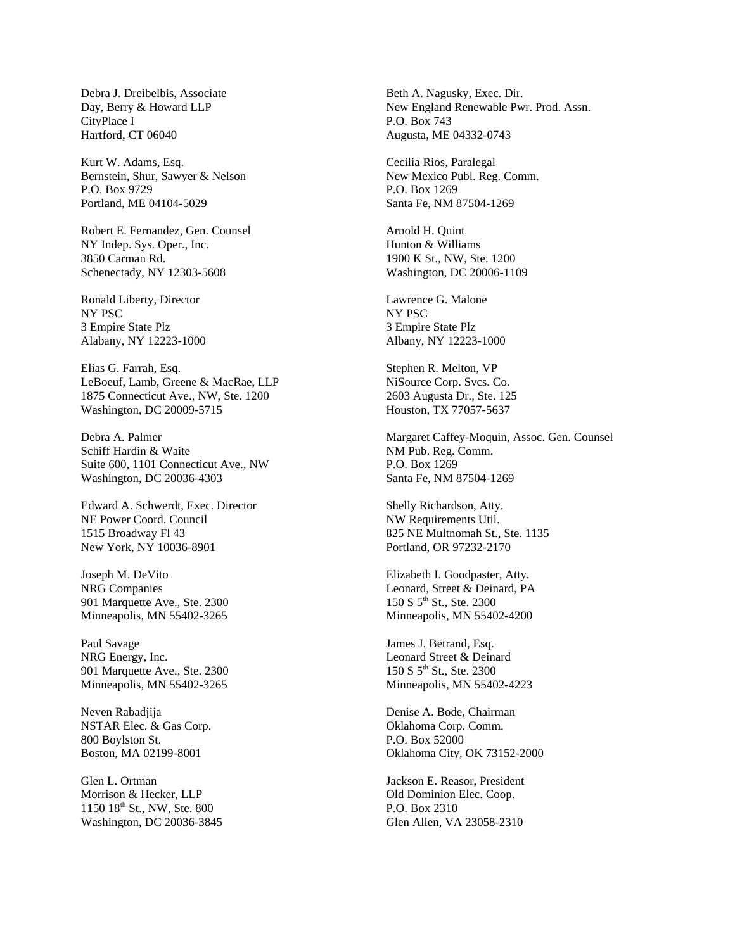Debra J. Dreibelbis, Associate Day, Berry & Howard LLP CityPlace I Hartford, CT 06040

Kurt W. Adams, Esq. Bernstein, Shur, Sawyer & Nelson P.O. Box 9729 Portland, ME 04104-5029

Robert E. Fernandez, Gen. Counsel NY Indep. Sys. Oper., Inc. 3850 Carman Rd. Schenectady, NY 12303-5608

Ronald Liberty, Director NY PSC 3 Empire State Plz Alabany, NY 12223-1000

Elias G. Farrah, Esq. LeBoeuf, Lamb, Greene & MacRae, LLP 1875 Connecticut Ave., NW, Ste. 1200 Washington, DC 20009-5715

Debra A. Palmer Schiff Hardin & Waite Suite 600, 1101 Connecticut Ave., NW Washington, DC 20036-4303

Edward A. Schwerdt, Exec. Director NE Power Coord. Council 1515 Broadway Fl 43 New York, NY 10036-8901

Joseph M. DeVito NRG Companies 901 Marquette Ave., Ste. 2300 Minneapolis, MN 55402-3265

Paul Savage NRG Energy, Inc. 901 Marquette Ave., Ste. 2300 Minneapolis, MN 55402-3265

Neven Rabadjija NSTAR Elec. & Gas Corp. 800 Boylston St. Boston, MA 02199-8001

Glen L. Ortman Morrison & Hecker, LLP 1150 18th St., NW, Ste. 800 Washington, DC 20036-3845 Beth A. Nagusky, Exec. Dir. New England Renewable Pwr. Prod. Assn. P.O. Box 743 Augusta, ME 04332-0743

Cecilia Rios, Paralegal New Mexico Publ. Reg. Comm. P.O. Box 1269 Santa Fe, NM 87504-1269

Arnold H. Quint Hunton & Williams 1900 K St., NW, Ste. 1200 Washington, DC 20006-1109

Lawrence G. Malone NY PSC 3 Empire State Plz Albany, NY 12223-1000

Stephen R. Melton, VP NiSource Corp. Svcs. Co. 2603 Augusta Dr., Ste. 125 Houston, TX 77057-5637

Margaret Caffey-Moquin, Assoc. Gen. Counsel NM Pub. Reg. Comm. P.O. Box 1269 Santa Fe, NM 87504-1269

Shelly Richardson, Atty. NW Requirements Util. 825 NE Multnomah St., Ste. 1135 Portland, OR 97232-2170

Elizabeth I. Goodpaster, Atty. Leonard, Street & Deinard, PA 150 S 5<sup>th</sup> St., Ste. 2300 Minneapolis, MN 55402-4200

James J. Betrand, Esq. Leonard Street & Deinard 150 S 5th St., Ste. 2300 Minneapolis, MN 55402-4223

Denise A. Bode, Chairman Oklahoma Corp. Comm. P.O. Box 52000 Oklahoma City, OK 73152-2000

Jackson E. Reasor, President Old Dominion Elec. Coop. P.O. Box 2310 Glen Allen, VA 23058-2310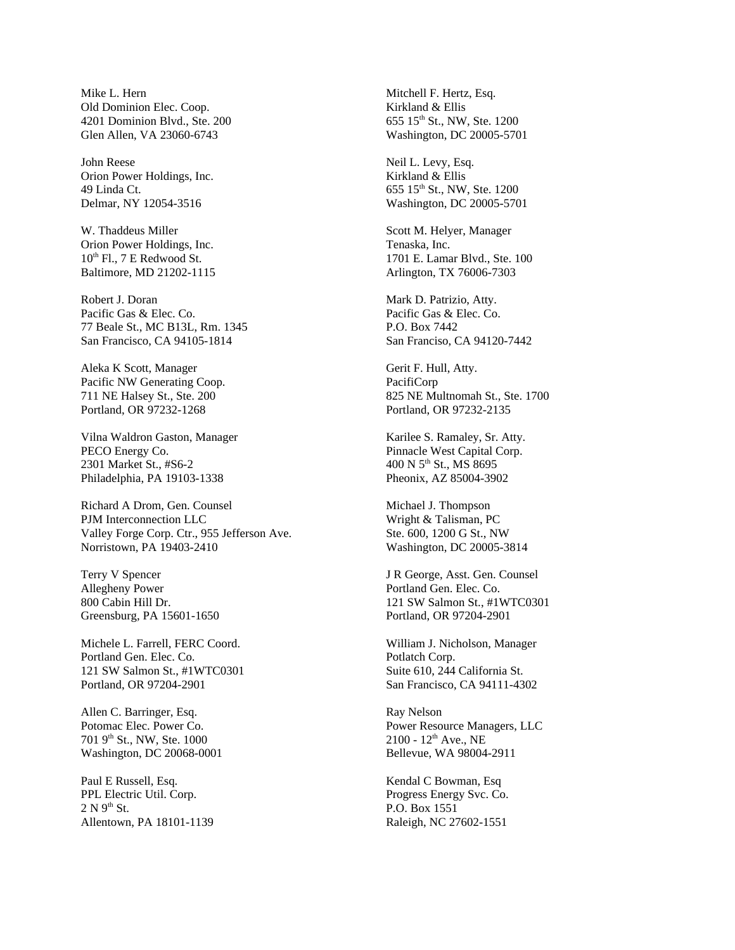Mike L. Hern Old Dominion Elec. Coop. 4201 Dominion Blvd., Ste. 200 Glen Allen, VA 23060-6743

John Reese Orion Power Holdings, Inc. 49 Linda Ct. Delmar, NY 12054-3516

W. Thaddeus Miller Orion Power Holdings, Inc.  $10^{th}$  Fl., 7 E Redwood St. Baltimore, MD 21202-1115

Robert J. Doran Pacific Gas & Elec. Co. 77 Beale St., MC B13L, Rm. 1345 San Francisco, CA 94105-1814

Aleka K Scott, Manager Pacific NW Generating Coop. 711 NE Halsey St., Ste. 200 Portland, OR 97232-1268

Vilna Waldron Gaston, Manager PECO Energy Co. 2301 Market St., #S6-2 Philadelphia, PA 19103-1338

Richard A Drom, Gen. Counsel PJM Interconnection LLC Valley Forge Corp. Ctr., 955 Jefferson Ave. Norristown, PA 19403-2410

Terry V Spencer Allegheny Power 800 Cabin Hill Dr. Greensburg, PA 15601-1650

Michele L. Farrell, FERC Coord. Portland Gen. Elec. Co. 121 SW Salmon St., #1WTC0301 Portland, OR 97204-2901

Allen C. Barringer, Esq. Potomac Elec. Power Co. 701 9th St., NW, Ste. 1000 Washington, DC 20068-0001

Paul E Russell, Esq. PPL Electric Util. Corp.  $2 N 9<sup>th</sup> St.$ Allentown, PA 18101-1139 Mitchell F. Hertz, Esq. Kirkland & Ellis 655 15<sup>th</sup> St., NW, Ste. 1200 Washington, DC 20005-5701

Neil L. Levy, Esq. Kirkland & Ellis 655 15th St., NW, Ste. 1200 Washington, DC 20005-5701

Scott M. Helyer, Manager Tenaska, Inc. 1701 E. Lamar Blvd., Ste. 100 Arlington, TX 76006-7303

Mark D. Patrizio, Atty. Pacific Gas & Elec. Co. P.O. Box 7442 San Franciso, CA 94120-7442

Gerit F. Hull, Atty. PacifiCorp 825 NE Multnomah St., Ste. 1700 Portland, OR 97232-2135

Karilee S. Ramaley, Sr. Atty. Pinnacle West Capital Corp. 400 N 5<sup>th</sup> St., MS 8695 Pheonix, AZ 85004-3902

Michael J. Thompson Wright & Talisman, PC Ste. 600, 1200 G St., NW Washington, DC 20005-3814

J R George, Asst. Gen. Counsel Portland Gen. Elec. Co. 121 SW Salmon St., #1WTC0301 Portland, OR 97204-2901

William J. Nicholson, Manager Potlatch Corp. Suite 610, 244 California St. San Francisco, CA 94111-4302

Ray Nelson Power Resource Managers, LLC 2100 - 12th Ave., NE Bellevue, WA 98004-2911

Kendal C Bowman, Esq Progress Energy Svc. Co. P.O. Box 1551 Raleigh, NC 27602-1551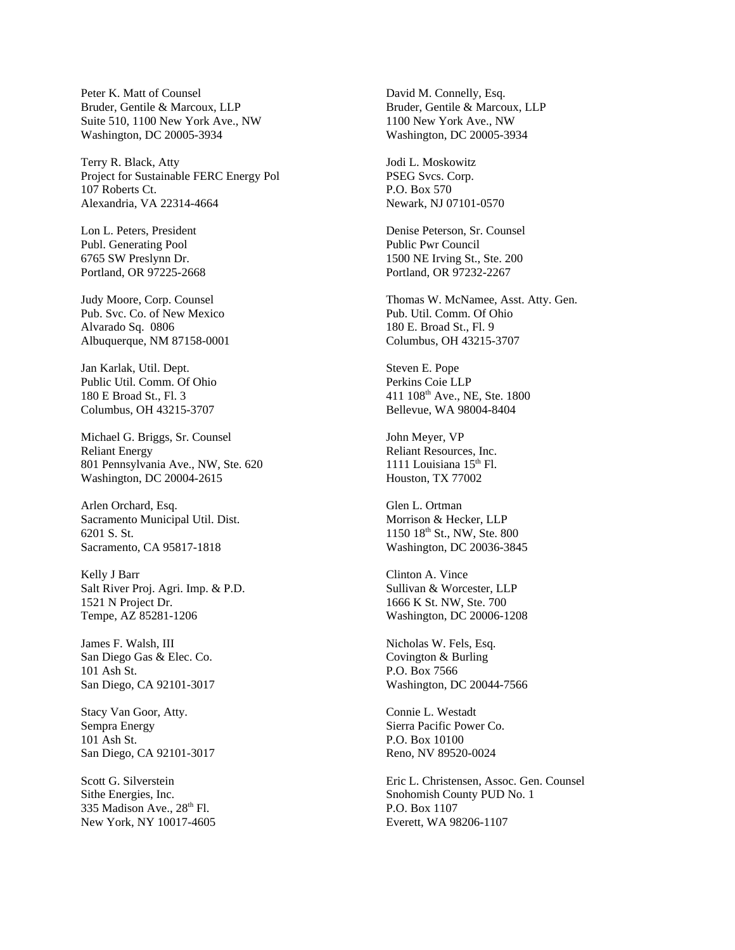Peter K. Matt of Counsel Bruder, Gentile & Marcoux, LLP Suite 510, 1100 New York Ave., NW Washington, DC 20005-3934

Terry R. Black, Atty Project for Sustainable FERC Energy Pol 107 Roberts Ct. Alexandria, VA 22314-4664

Lon L. Peters, President Publ. Generating Pool 6765 SW Preslynn Dr. Portland, OR 97225-2668

Judy Moore, Corp. Counsel Pub. Svc. Co. of New Mexico Alvarado Sq. 0806 Albuquerque, NM 87158-0001

Jan Karlak, Util. Dept. Public Util. Comm. Of Ohio 180 E Broad St., Fl. 3 Columbus, OH 43215-3707

Michael G. Briggs, Sr. Counsel Reliant Energy 801 Pennsylvania Ave., NW, Ste. 620 Washington, DC 20004-2615

Arlen Orchard, Esq. Sacramento Municipal Util. Dist. 6201 S. St. Sacramento, CA 95817-1818

Kelly J Barr Salt River Proj. Agri. Imp. & P.D. 1521 N Project Dr. Tempe, AZ 85281-1206

James F. Walsh, III San Diego Gas & Elec. Co. 101 Ash St. San Diego, CA 92101-3017

Stacy Van Goor, Atty. Sempra Energy 101 Ash St. San Diego, CA 92101-3017

Scott G. Silverstein Sithe Energies, Inc. 335 Madison Ave.,  $28<sup>th</sup>$  Fl. New York, NY 10017-4605 David M. Connelly, Esq. Bruder, Gentile & Marcoux, LLP 1100 New York Ave., NW Washington, DC 20005-3934

Jodi L. Moskowitz PSEG Svcs. Corp. P.O. Box 570 Newark, NJ 07101-0570

Denise Peterson, Sr. Counsel Public Pwr Council 1500 NE Irving St., Ste. 200 Portland, OR 97232-2267

Thomas W. McNamee, Asst. Atty. Gen. Pub. Util. Comm. Of Ohio 180 E. Broad St., Fl. 9 Columbus, OH 43215-3707

Steven E. Pope Perkins Coie LLP 411 108th Ave., NE, Ste. 1800 Bellevue, WA 98004-8404

John Meyer, VP Reliant Resources, Inc. 1111 Louisiana  $15<sup>th</sup>$  Fl. Houston, TX 77002

Glen L. Ortman Morrison & Hecker, LLP 1150 18<sup>th</sup> St., NW, Ste. 800 Washington, DC 20036-3845

Clinton A. Vince Sullivan & Worcester, LLP 1666 K St. NW, Ste. 700 Washington, DC 20006-1208

Nicholas W. Fels, Esq. Covington & Burling P.O. Box 7566 Washington, DC 20044-7566

Connie L. Westadt Sierra Pacific Power Co. P.O. Box 10100 Reno, NV 89520-0024

Eric L. Christensen, Assoc. Gen. Counsel Snohomish County PUD No. 1 P.O. Box 1107 Everett, WA 98206-1107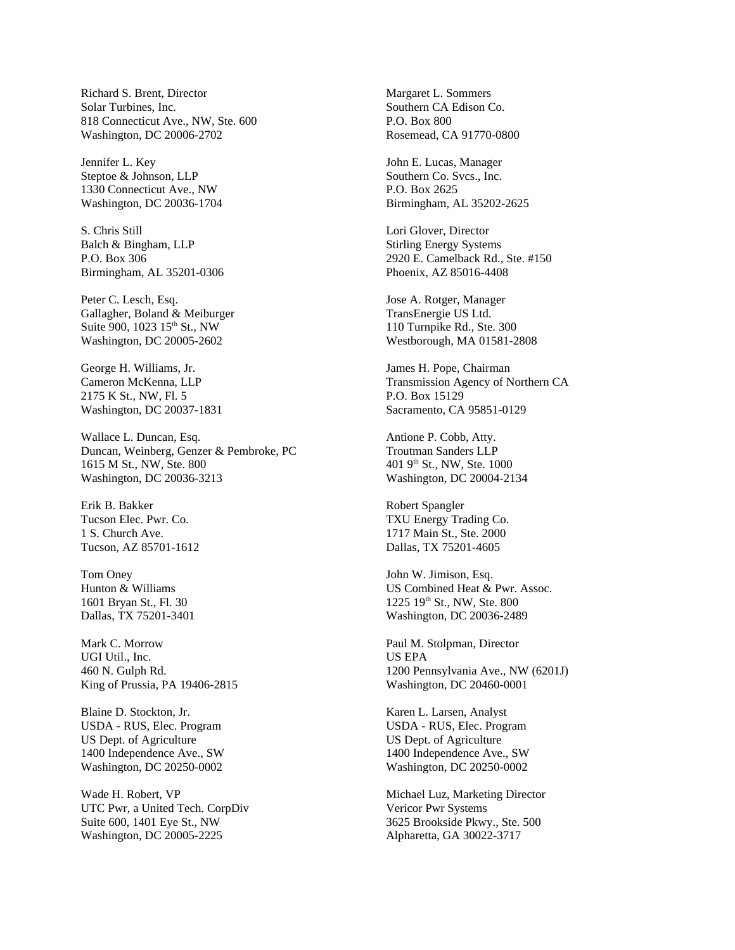Richard S. Brent, Director Solar Turbines, Inc. 818 Connecticut Ave., NW, Ste. 600 Washington, DC 20006-2702

Jennifer L. Key Steptoe & Johnson, LLP 1330 Connecticut Ave., NW Washington, DC 20036-1704

S. Chris Still Balch & Bingham, LLP P.O. Box 306 Birmingham, AL 35201-0306

Peter C. Lesch, Esq. Gallagher, Boland & Meiburger Suite 900, 1023 15<sup>th</sup> St., NW Washington, DC 20005-2602

George H. Williams, Jr. Cameron McKenna, LLP 2175 K St., NW, Fl. 5 Washington, DC 20037-1831

Wallace L. Duncan, Esq. Duncan, Weinberg, Genzer & Pembroke, PC 1615 M St., NW, Ste. 800 Washington, DC 20036-3213

Erik B. Bakker Tucson Elec. Pwr. Co. 1 S. Church Ave. Tucson, AZ 85701-1612

Tom Oney Hunton & Williams 1601 Bryan St., Fl. 30 Dallas, TX 75201-3401

Mark C. Morrow UGI Util., Inc. 460 N. Gulph Rd. King of Prussia, PA 19406-2815

Blaine D. Stockton, Jr. USDA - RUS, Elec. Program US Dept. of Agriculture 1400 Independence Ave., SW Washington, DC 20250-0002

Wade H. Robert, VP UTC Pwr, a United Tech. CorpDiv Suite 600, 1401 Eye St., NW Washington, DC 20005-2225

Margaret L. Sommers Southern CA Edison Co. P.O. Box 800 Rosemead, CA 91770-0800

John E. Lucas, Manager Southern Co. Svcs., Inc. P.O. Box 2625 Birmingham, AL 35202-2625

Lori Glover, Director Stirling Energy Systems 2920 E. Camelback Rd., Ste. #150 Phoenix, AZ 85016-4408

Jose A. Rotger, Manager TransEnergie US Ltd. 110 Turnpike Rd., Ste. 300 Westborough, MA 01581-2808

James H. Pope, Chairman Transmission Agency of Northern CA P.O. Box 15129 Sacramento, CA 95851-0129

Antione P. Cobb, Atty. Troutman Sanders LLP 401 9<sup>th</sup> St., NW, Ste. 1000 Washington, DC 20004-2134

Robert Spangler TXU Energy Trading Co. 1717 Main St., Ste. 2000 Dallas, TX 75201-4605

John W. Jimison, Esq. US Combined Heat & Pwr. Assoc. 1225 19th St., NW, Ste. 800 Washington, DC 20036-2489

Paul M. Stolpman, Director US EPA 1200 Pennsylvania Ave., NW (6201J) Washington, DC 20460-0001

Karen L. Larsen, Analyst USDA - RUS, Elec. Program US Dept. of Agriculture 1400 Independence Ave., SW Washington, DC 20250-0002

Michael Luz, Marketing Director Vericor Pwr Systems 3625 Brookside Pkwy., Ste. 500 Alpharetta, GA 30022-3717